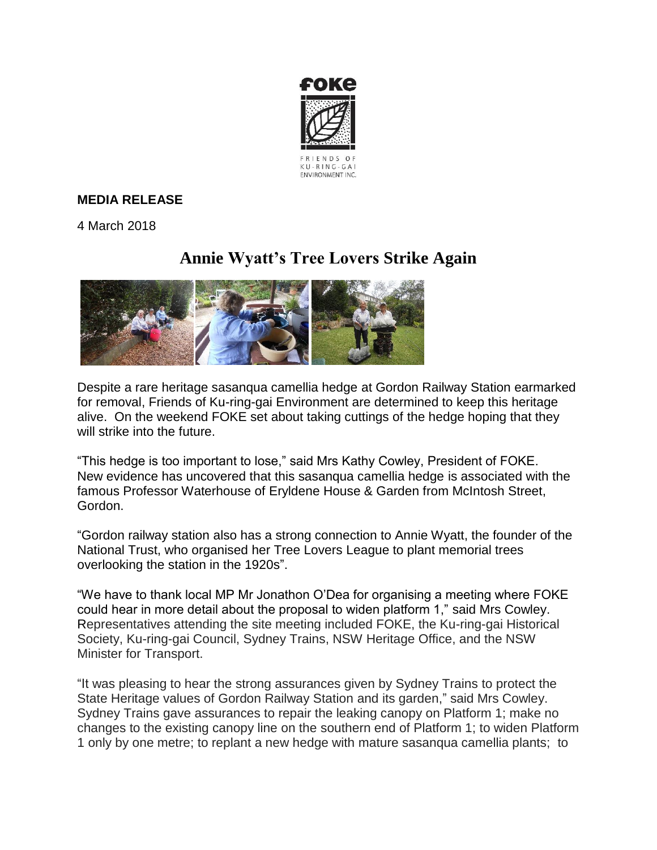

## **MEDIA RELEASE**

4 March 2018

## **Annie Wyatt's Tree Lovers Strike Again**



Despite a rare heritage sasanqua camellia hedge at Gordon Railway Station earmarked for removal, Friends of Ku-ring-gai Environment are determined to keep this heritage alive. On the weekend FOKE set about taking cuttings of the hedge hoping that they will strike into the future.

"This hedge is too important to lose," said Mrs Kathy Cowley, President of FOKE. New evidence has uncovered that this sasanqua camellia hedge is associated with the famous Professor Waterhouse of Eryldene House & Garden from McIntosh Street, Gordon.

"Gordon railway station also has a strong connection to Annie Wyatt, the founder of the National Trust, who organised her Tree Lovers League to plant memorial trees overlooking the station in the 1920s".

"We have to thank local MP Mr Jonathon O'Dea for organising a meeting where FOKE could hear in more detail about the proposal to widen platform 1," said Mrs Cowley. Representatives attending the site meeting included FOKE, the Ku-ring-gai Historical Society, Ku-ring-gai Council, Sydney Trains, NSW Heritage Office, and the NSW Minister for Transport.

"It was pleasing to hear the strong assurances given by Sydney Trains to protect the State Heritage values of Gordon Railway Station and its garden," said Mrs Cowley. Sydney Trains gave assurances to repair the leaking canopy on Platform 1; make no changes to the existing canopy line on the southern end of Platform 1; to widen Platform 1 only by one metre; to replant a new hedge with mature sasanqua camellia plants; to